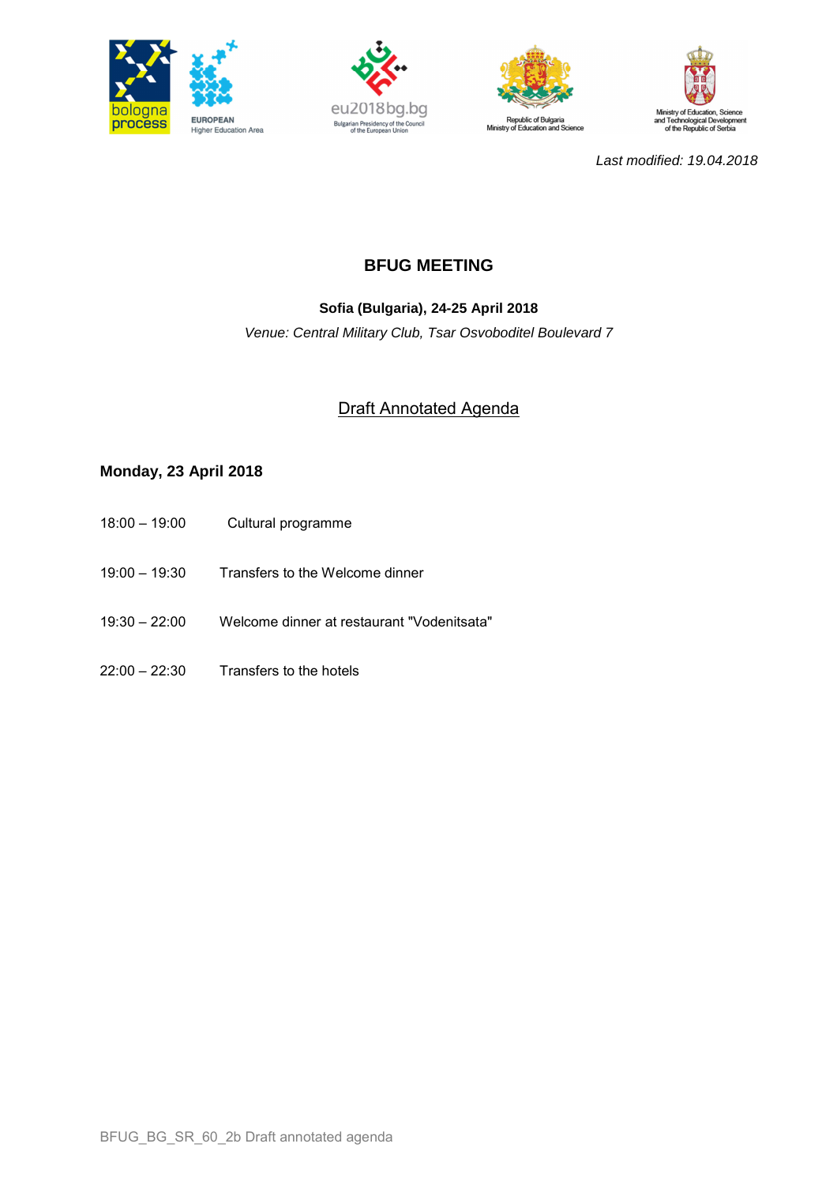







Last modified: 19.04.2018

# **BFUG MEETING**

## **Sofia (Bulgaria), 24-25 April 2018**

Venue: Central Military Club, Tsar Osvoboditel Boulevard 7

## Draft Annotated Agenda

## **Monday, 23 April 2018**

- 18:00 19:00 Cultural programme
- 19:00 19:30 Transfers to the Welcome dinner
- 19:30 22:00 Welcome dinner at restaurant "Vodenitsata"
- 22:00 22:30 Transfers to the hotels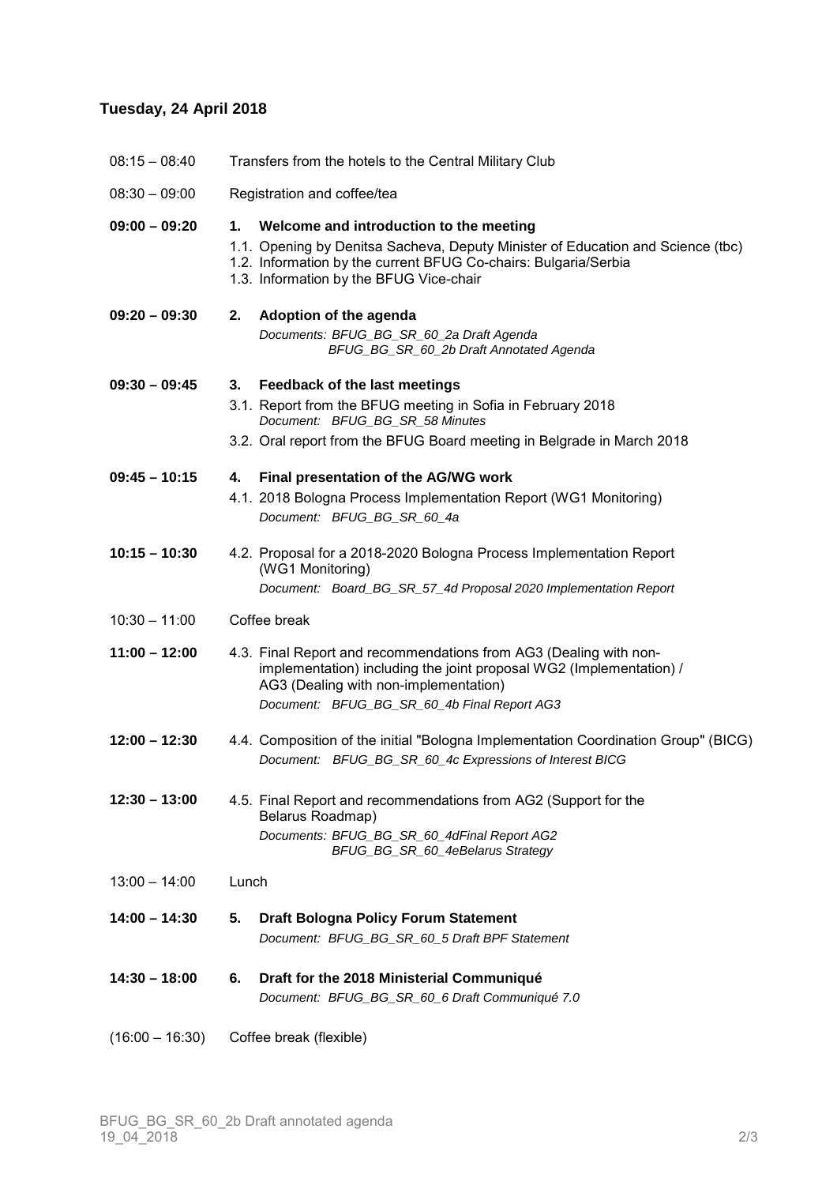#### **Tuesday, 24 April 2018**

| $08:15 - 08:40$ |  | Transfers from the hotels to the Central Military Club |
|-----------------|--|--------------------------------------------------------|

08:30 – 09:00 Registration and coffee/tea

#### **09:00 – 09:20 1. Welcome and introduction to the meeting**

- 1.1. Opening by Denitsa Sacheva, Deputy Minister of Education and Science (tbc)
- 1.2. Information by the current BFUG Co-chairs: Bulgaria/Serbia
- 1.3. Information by the BFUG Vice-chair

| 09:20 – 09:30 | 2. Adoption of the agenda                |  |
|---------------|------------------------------------------|--|
|               | Documents: BFUG BG SR 60 2a Draft Agenda |  |
|               | BFUG BG SR 60 2b Draft Annotated Agenda  |  |

## **09:30 – 09:45 3. Feedback of the last meetings** 3.1. Report from the BFUG meeting in Sofia in February 2018 Document: BFUG\_BG\_SR\_58 Minutes

3.2. Oral report from the BFUG Board meeting in Belgrade in March 2018

#### **09:45 – 10:15 4. Final presentation of the AG/WG work**

- 4.1. 2018 Bologna Process Implementation Report (WG1 Monitoring) Document: BFUG BG SR 60 4a
- **10:15 – 10:30** 4.2. Proposal for a 2018-2020 Bologna Process Implementation Report (WG1 Monitoring) Document: Board\_BG\_SR\_57\_4d Proposal 2020 Implementation Report
- 10:30 11:00 Coffee break
- **11:00 – 12:00** 4.3. Final Report and recommendations from AG3 (Dealing with non implementation) including the joint proposal WG2 (Implementation) / AG3 (Dealing with non-implementation) Document: BFUG BG SR 60 4b Final Report AG3
- **12:00 – 12:30** 4.4. Composition of the initial "Bologna Implementation Coordination Group" (BICG) Document: BFUG\_BG\_SR\_60\_4c Expressions of Interest BICG
- **12:30 – 13:00** 4.5. Final Report and recommendations from AG2 (Support for the Belarus Roadmap) Documents: BFUG\_BG\_SR\_60\_4dFinal Report AG2 BFUG\_BG\_SR\_60\_4eBelarus Strategy
- 13:00 14:00 Lunch
- **14:00 – 14:30 5. Draft Bologna Policy Forum Statement** Document: BFUG\_BG\_SR\_60\_5 Draft BPF Statement
- **14:30 – 18:00 6. Draft for the 2018 Ministerial Communiqué** Document: BFUG\_BG\_SR\_60\_6 Draft Communiqué 7.0
- (16:00 16:30) Coffee break (flexible)